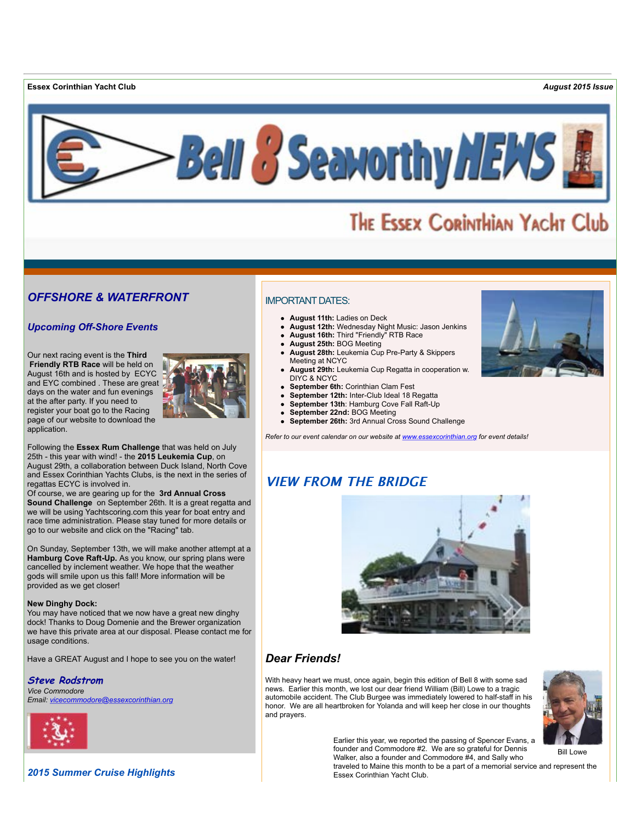**Essex Corinthian Yacht Club** *August 2015 Issue*



# THE ESSEX CORINTHIAN YACHT Club

# *OFFSHORE & WATERFRONT*

# *Upcoming Off-Shore Events*

Our next racing event is the **Third Friendly RTB Race** will be held on August 16th and is hosted by ECYC and EYC combined . These are great days on the water and fun evenings at the after party. If you need to register your boat go to the Racing page of our website to download the application.



Following the **Essex Rum Challenge** that was held on July 25th - this year with wind! - the **2015 Leukemia Cup**, on August 29th, a collaboration between Duck Island, North Cove and Essex Corinthian Yachts Clubs, is the next in the series of regattas ECYC is involved in.

Of course, we are gearing up for the **3rd Annual Cross Sound Challenge** on September 26th. It is a great regatta and we will be using Yachtscoring.com this year for boat entry and race time administration. Please stay tuned for more details or go to our website and click on the "Racing" tab.

On Sunday, September 13th, we will make another attempt at a **Hamburg Cove Raft-Up.** As you know, our spring plans were cancelled by inclement weather. We hope that the weather gods will smile upon us this fall! More information will be provided as we get closer!

#### **New Dinghy Dock:**

You may have noticed that we now have a great new dinghy dock! Thanks to Doug Domenie and the Brewer organization we have this private area at our disposal. Please contact me for usage conditions.

Have a GREAT August and I hope to see you on the water!

#### **Steve Rodstrom**

*Vice Commodore Email: [vicecommodore@essexcorinthian.org](mailto:vicecommodore@essexcorinthian.org)*



*2015 Summer Cruise Highlights*

# IMPORTANT DATES:

- **August 11th:** Ladies on Deck
- **August 12th:** Wednesday Night Music: Jason Jenkins
- **August 16th:** Third "Friendly" RTB Race
- **August 25th:** BOG Meeting
- **August 28th:** Leukemia Cup Pre-Party & Skippers Meeting at NCYC
- **August 29th:** Leukemia Cup Regatta in cooperation w. DIYC & NCYC
- **September 6th:** Corinthian Clam Fest
- **September 12th:** Inter-Club Ideal 18 Regatta
- **September 13th**: Hamburg Cove Fall Raft-Up
- **September 22nd:** BOG Meeting
- **September 26th:** 3rd Annual Cross Sound Challenge  $\bullet$

*Refer to our event calendar on our website at [www.essexcorinthian.org](http://www.essexcorinthian.org) for event details!*

# **VIEW FROM THE BRIDGE**



# *Dear Friends!*

With heavy heart we must, once again, begin this edition of Bell 8 with some sad news. Earlier this month, we lost our dear friend William (Bill) Lowe to a tragic automobile accident. The Club Burgee was immediately lowered to half-staff in his honor. We are all heartbroken for Yolanda and will keep her close in our thoughts and prayers.

> Earlier this year, we reported the passing of Spencer Evans, a founder and Commodore #2. We are so grateful for Dennis Walker, also a founder and Commodore #4, and Sally who

traveled to Maine this month to be a part of a memorial service and represent the Essex Corinthian Yacht Club.



Bill Lowe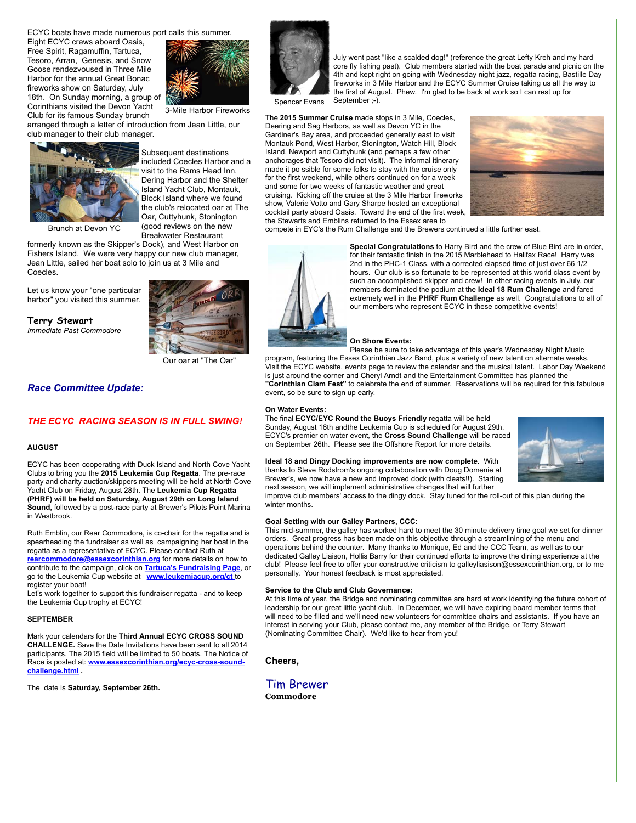ECYC boats have made numerous port calls this summer.

Eight ECYC crews aboard Oasis, Free Spirit, Ragamuffin, Tartuca, Tesoro, Arran, Genesis, and Snow Goose rendezvoused in Three Mile Harbor for the annual Great Bonac fireworks show on Saturday, July 18th. On Sunday morning, a group of Corinthians visited the Devon Yacht Club for its famous Sunday brunch



arranged through a letter of introduction from Jean Little, our club manager to their club manager.



Subsequent destinations included Coecles Harbor and a visit to the Rams Head Inn, Dering Harbor and the Shelter Island Yacht Club, Montauk, Block Island where we found the club's relocated oar at The Oar, Cuttyhunk, Stonington (good reviews on the new Breakwater Restaurant

Brunch at Devon YC

formerly known as the Skipper's Dock), and West Harbor on Fishers Island. We were very happy our new club manager, Jean Little, sailed her boat solo to join us at 3 Mile and Coecles.

Let us know your "one particular harbor" you visited this summer.

**Terry Stewart** *Immediate Past Commodore*



Our oar at "The Oar"

#### *Race Committee Update:*

## *THE ECYC RACING SEASON IS IN FULL SWING!*

#### **AUGUST**

ECYC has been cooperating with Duck Island and North Cove Yacht Clubs to bring you the **2015 Leukemia Cup Regatta**. The pre-race party and charity auction/skippers meeting will be held at North Cove Yacht Club on Friday, August 28th. The **Leukemia Cup Regatta (PHRF) will be held on Saturday, August 29th on Long Island Sound,** followed by a post-race party at Brewer's Pilots Point Marina in Westbrook.

Ruth Emblin, our Rear Commodore, is co-chair for the regatta and is spearheading the fundraiser as well as campaigning her boat in the regatta as a representative of ECYC. Please contact Ruth at **[rearcommodore@essexcorinthian.org](mailto:rearcommodore@essexcorinthian.org)** for more details on how to contribute to the campaign, click on **[Tartuca's Fundraising Page](http://www.leukemiacup.org/pages/ctwhv/ct15/Tartuca)**, or go to the Leukemia Cup website at **[www.leukemiacup.org/ct](http://www.leukemiacup.org/ct)** to register your boat!

Let's work together to support this fundraiser regatta - and to keep the Leukemia Cup trophy at ECYC!

#### **SEPTEMBER**

Mark your calendars for the **Third Annual ECYC CROSS SOUND CHALLENGE.** Save the Date Invitations have been sent to all 2014 participants. The 2015 field will be limited to 50 boats. The Notice of Race is posted at: **[www.essexcorinthian.org/ecyc-cross-sound](http://www.essexcorinthian.org/ecyc-cross-sound-challenge.html)challenge.html .**

The date is **Saturday, September 26th.**



Spencer Evans September :-).

The **2015 Summer Cruise** made stops in 3 Mile, Coecles, Deering and Sag Harbors, as well as Devon YC in the Gardiner's Bay area, and proceeded generally east to visit Montauk Pond, West Harbor, Stonington, Watch Hill, Block Island, Newport and Cuttyhunk (and perhaps a few other anchorages that Tesoro did not visit). The informal itinerary made it po ssible for some folks to stay with the cruise only for the first weekend, while others continued on for a week and some for two weeks of fantastic weather and great cruising. Kicking off the cruise at the 3 Mile Harbor fireworks show, Valerie Votto and Gary Sharpe hosted an exceptional cocktail party aboard Oasis. Toward the end of the first week, the Stewarts and Emblins returned to the Essex area to



compete in EYC's the Rum Challenge and the Brewers continued a little further east.



**Special Congratulations** to Harry Bird and the crew of Blue Bird are in order, for their fantastic finish in the 2015 Marblehead to Halifax Race! Harry was 2nd in the PHC-1 Class, with a corrected elapsed time of just over 66 1/2 hours. Our club is so fortunate to be represented at this world class event by such an accomplished skipper and crew! In other racing events in July, our members dominated the podium at the **Ideal 18 Rum Challenge** and fared extremely well in the **PHRF Rum Challenge** as well. Congratulations to all of our members who represent ECYC in these competitive events!

July went past "like a scalded dog!" (reference the great Lefty Kreh and my hard core fly fishing past). Club members started with the boat parade and picnic on the 4th and kept right on going with Wednesday night jazz, regatta racing, Bastille Day fireworks in 3 Mile Harbor and the ECYC Summer Cruise taking us all the way to the first of August. Phew. I'm glad to be back at work so I can rest up for

#### **On Shore Events:**

Please be sure to take advantage of this year's Wednesday Night Music program, featuring the Essex Corinthian Jazz Band, plus a variety of new talent on alternate weeks. Visit the ECYC website, events page to review the calendar and the musical talent. Labor Day Weekend is just around the corner and Cheryl Arndt and the Entertainment Committee has planned the **"Corinthian Clam Fest"** to celebrate the end of summer. Reservations will be required for this fabulous event, so be sure to sign up early.

#### **On Water Events:**

The final **ECYC/EYC Round the Buoys Friendly** regatta will be held Sunday, August 16th andthe Leukemia Cup is scheduled for August 29th. ECYC's premier on water event, the **Cross Sound Challenge** will be raced on September 26th. Please see the Offshore Report for more details.

**Ideal 18 and Dingy Docking improvements are now complete.** With thanks to Steve Rodstrom's ongoing collaboration with Doug Domenie at Brewer's, we now have a new and improved dock (with cleats!!). Starting



next season, we will implement administrative changes that will further improve club members' access to the dingy dock. Stay tuned for the roll-out of this plan during the winter months.

#### **Goal Setting with our Galley Partners, CCC:**

This mid-summer, the galley has worked hard to meet the 30 minute delivery time goal we set for dinner orders. Great progress has been made on this objective through a streamlining of the menu and operations behind the counter. Many thanks to Monique, Ed and the CCC Team, as well as to our dedicated Galley Liaison, Hollis Barry for their continued efforts to improve the dining experience at the club! Please feel free to offer your constructive criticism to galleyliasison@essexcorinthian.org, or to me personally. Your honest feedback is most appreciated.

#### **Service to the Club and Club Governance:**

At this time of year, the Bridge and nominating committee are hard at work identifying the future cohort of leadership for our great little yacht club. In December, we will have expiring board member terms that will need to be filled and we'll need new volunteers for committee chairs and assistants. If you have an interest in serving your Club, please contact me, any member of the Bridge, or Terry Stewart (Nominating Committee Chair). We'd like to hear from you!

**Cheers,**

Tim Brewer **Commodore**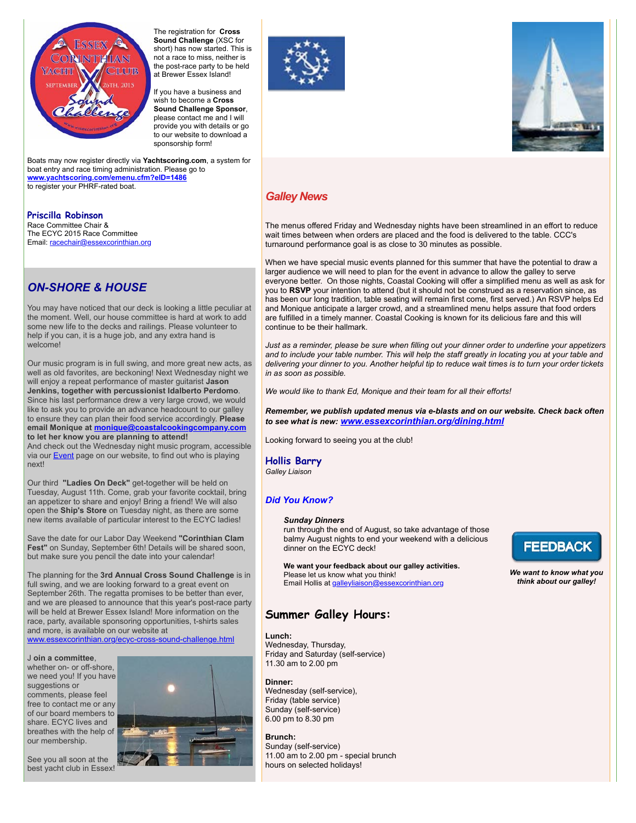

The registration for **Cross Sound Challenge** (XSC for short) has now started. This is not a race to miss, neither is the post-race party to be held at Brewer Essex Island!

If you have a business and wish to become a **Cross Sound Challenge Sponsor**, please contact me and I will provide you with details or go to our website to download a sponsorship form!

Boats may now register directly via **Yachtscoring.com**, a system for boat entry and race timing administration. Please go to **[www.yachtscoring.com/emenu.cfm?eID=1486](http://www.yachtscoring.com/emenu.cfm?eID=1486)** to register your PHRF-rated boat.

## **Priscilla Robinson**

Race Committee Chair & The ECYC 2015 Race Committee Email: [racechair@essexcorinthian.org](mailto:racechair@essexcorinthian.org) 

# *ON-SHORE & HOUSE*

You may have noticed that our deck is looking a little peculiar at the moment. Well, our house committee is hard at work to add some new life to the decks and railings. Please volunteer to help if you can, it is a huge job, and any extra hand is welcome!

Our music program is in full swing, and more great new acts, as well as old favorites, are beckoning! Next Wednesday night we will enjoy a repeat performance of master guitarist **Jason Jenkins, together with percussionist Idalberto Perdomo**. Since his last performance drew a very large crowd, we would like to ask you to provide an advance headcount to our galley to ensure they can plan their food service accordingly. **Please email Monique at [monique@coastalcookingcompany.com](mailto:monique@coastalcookingcompany.com) to let her know you are planning to attend!** And check out the Wednesday night music program, accessible

via our **Event** page on our website, to find out who is playing next!

Our third **"Ladies On Deck"** get-together will be held on Tuesday, August 11th. Come, grab your favorite cocktail, bring an appetizer to share and enjoy! Bring a friend! We will also open the **Ship's Store** on Tuesday night, as there are some new items available of particular interest to the ECYC ladies!

Save the date for our Labor Day Weekend **"Corinthian Clam Fest"** on Sunday, September 6th! Details will be shared soon, but make sure you pencil the date into your calendar!

The planning for the **3rd Annual Cross Sound Challenge** is in full swing, and we are looking forward to a great event on September 26th. The regatta promises to be better than ever, and we are pleased to announce that this year's post-race party will be held at Brewer Essex Island! More information on the race, party, available sponsoring opportunities, t-shirts sales and more, is available on our website at [www.essexcorinthian.org/ecyc-cross-sound-challenge.html](http://www.essexcorinthian.org/ecyc-cross-sound-challenge.html)

J **oin a committee**, whether on- or off-shore, we need you! If you have suggestions or comments, please feel free to contact me or any of our board members to share. ECYC lives and breathes with the help of our membership.









# *Galley News*

The menus offered Friday and Wednesday nights have been streamlined in an effort to reduce wait times between when orders are placed and the food is delivered to the table. CCC's turnaround performance goal is as close to 30 minutes as possible.

When we have special music events planned for this summer that have the potential to draw a larger audience we will need to plan for the event in advance to allow the galley to serve everyone better. On those nights, Coastal Cooking will offer a simplified menu as well as ask for you to **RSVP** your intention to attend (but it should not be construed as a reservation since, as has been our long tradition, table seating will remain first come, first served.) An RSVP helps Ed and Monique anticipate a larger crowd, and a streamlined menu helps assure that food orders are fulfilled in a timely manner. Coastal Cooking is known for its delicious fare and this will continue to be their hallmark.

*Just as a reminder, please be sure when filling out your dinner order to underline your appetizers and to include your table number. This will help the staff greatly in locating you at your table and delivering your dinner to you. Another helpful tip to reduce wait times is to turn your order tickets in as soon as possible.*

*We would like to thank Ed, Monique and their team for all their efforts!*

*Remember, we publish updated menus via e-blasts and on our website. Check back often to see what is new: [www.essexcorinthian.org/dining.html](http://www.essexcorinthian.org/dining.html)*

Looking forward to seeing you at the club!

**Hollis Barry** *Galley Liaison*

## *Did You Know?*

#### *Sunday Dinners*

run through the end of August, so take advantage of those balmy August nights to end your weekend with a delicious dinner on the ECYC deck!

**We want your feedback about our galley activities.** Please let us know what you think!

Email Hollis at [galleyliaison@essexcorinthian.org](mailto:galleyliaison@essexcorinthian.org)

# **Summer Galley Hours:**

## **Lunch:**

Wednesday, Thursday, Friday and Saturday (self-service) 11.30 am to 2.00 pm

**Dinner:**  Wednesday (self-service), Friday (table service) Sunday (self-service) 6.00 pm to 8.30 pm

## **Brunch:**

Sunday (self-service) 11.00  $\sin$  to 2.00 pm - special brunch hours on selected holidays!



*We want to know what you think about our galley!*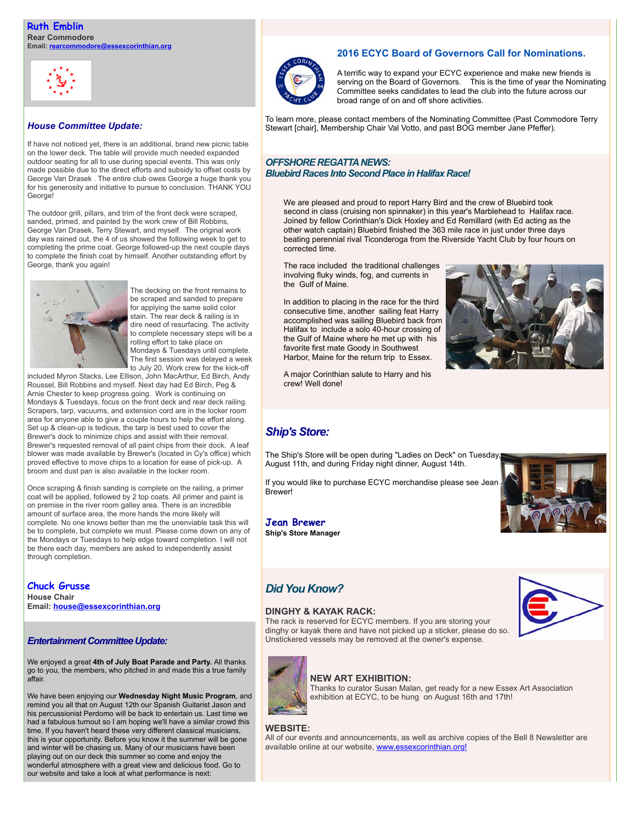

## *House Committee Update:*

If have not noticed yet, there is an additional, brand new picnic table on the lower deck. The table will provide much needed expanded outdoor seating for all to use during special events. This was only made possible due to the direct efforts and subsidy to offset costs by George Van Drasek . The entire club owes George a huge thank you for his generosity and initiative to pursue to conclusion. THANK YOU George!

The outdoor grill, pillars, and trim of the front deck were scraped, sanded, primed, and painted by the work crew of Bill Robbins, George Van Drasek, Terry Stewart, and myself. The original work day was rained out, the 4 of us showed the following week to get to completing the prime coat. George followed-up the next couple days to complete the finish coat by himself. Another outstanding effort by George, thank you again!



The decking on the front remains to be scraped and sanded to prepare for applying the same solid color stain. The rear deck & railing is in dire need of resurfacing. The activity to complete necessary steps will be a rolling effort to take place on Mondays & Tuesdays until complete. The first session was delayed a week to July 20. Work crew for the kick-off

included Myron Stacks, Lee Ellison, John MacArthur, Ed Birch, Andy Roussel, Bill Robbins and myself. Next day had Ed Birch, Peg & Arnie Chester to keep progress going. Work is continuing on Mondays & Tuesdays, focus on the front deck and rear deck railing. Scrapers, tarp, vacuums, and extension cord are in the locker room area for anyone able to give a couple hours to help the effort along. Set up & clean-up is tedious, the tarp is best used to cover the Brewer's dock to minimize chips and assist with their removal. Brewer's requested removal of all paint chips from their dock. A leaf blower was made available by Brewer's (located in Cy's office) which proved effective to move chips to a location for ease of pick-up. A broom and dust pan is also available in the locker room.

Once scraping & finish sanding is complete on the railing, a primer coat will be applied, followed by 2 top coats. All primer and paint is on premise in the river room galley area. There is an incredible amount of surface area, the more hands the more likely will complete. No one knows better than me the unenviable task this will be to complete, but complete we must. Please come down on any of the Mondays or Tuesdays to help edge toward completion. I will not be there each day, members are asked to independently assist through completion.

**Chuck Grusse House Chair Email: [house@essexcorinthian.org](mailto:house@essexcorinthian.org)**

## *Entertainment Committee Update:*

We enjoyed a great **4th of July Boat Parade and Party.** All thanks go to you, the members, who pitched in and made this a true family affair.

We have been enjoying our **Wednesday Night Music Program**, and remind you all that on August 12th our Spanish Guitarist Jason and his percussionist Perdomo will be back to entertain us. Last time we had a fabulous turnout so I am hoping we'll have a similar crowd this time. If you haven't heard these very different classical musicians, this is your opportunity. Before you know it the summer will be gone and winter will be chasing us. Many of our musicians have been playing out on our deck this summer so come and enjoy the wonderful atmosphere with a great view and delicious food. Go to our website and take a look at what performance is next:

# **2016 ECYC Board of Governors Call for Nominations.**



A terrific way to expand your ECYC experience and make new friends is serving on the Board of Governors. This is the time of year the Nominating Committee seeks candidates to lead the club into the future across our broad range of on and off shore activities.

To learn more, please contact members of the Nominating Committee (Past Commodore Terry Stewart [chair], Membership Chair Val Votto, and past BOG member Jane Pfeffer).

## *OFFSHORE REGATTA NEWS: Bluebird Races Into Second Place in Halifax Race!*

We are pleased and proud to report Harry Bird and the crew of Bluebird took second in class (cruising non spinnaker) in this year's Marblehead to Halifax race. Joined by fellow Corinthian's Dick Hoxley and Ed Remillard (with Ed acting as the other watch captain) Bluebird finished the 363 mile race in just under three days beating perennial rival Ticonderoga from the Riverside Yacht Club by four hours on corrected time.

The race included the traditional challenges involving fluky winds, fog, and currents in the Gulf of Maine.

In addition to placing in the race for the third consecutive time, another sailing feat Harry accomplished was sailing Bluebird back from Halifax to include a solo 40-hour crossing of the Gulf of Maine where he met up with his favorite first mate Goody in Southwest Harbor, Maine for the return trip to Essex.

A major Corinthian salute to Harry and his crew! Well done!



# *Ship's Store:*

The Ship's Store will be open during "Ladies on Deck" on Tuesday, August 11th, and during Friday night dinner, August 14th.

If you would like to purchase ECYC merchandise please see Jean Brewer!

**Jean Brewer Ship's Store Manager**



# *Did You Know?*

## **DINGHY & KAYAK RACK:**

The rack is reserved for ECYC members. If you are storing your dinghy or kayak there and have not picked up a sticker, please do so. Unstickered vessels may be removed at the owner's expense.





# **NEW ART EXHIBITION:**

Thanks to curator Susan Malan, get ready for a new Essex Art Association exhibition at ECYC, to be hung on August 16th and 17th!

#### **WEBSITE:**

All of our events and announcements, as well as archive copies of the Bell 8 Newsletter are available online at our website, [www.essexcorinthian.org!](http://www.essexcorinthian.org)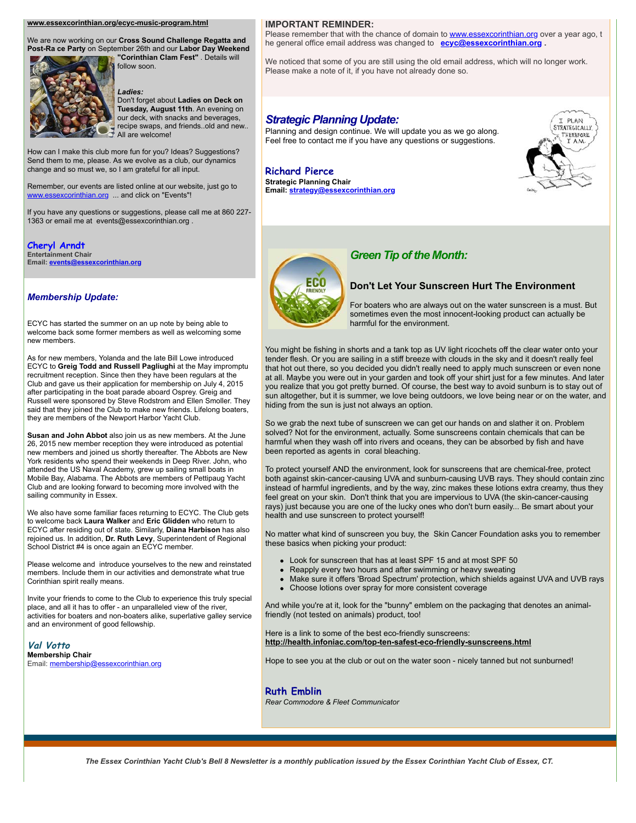#### **[www.essexcorinthian.org/ecyc-music-program.html](http://www.ecyc-music-program.html)**

We are now working on our **Cross Sound Challenge Regatta and Post-Ra ce Party** on September 26th and our **Labor Day Weekend "Corinthian Clam Fest"** . Details will



#### *Ladies:*

follow soon.

Don't forget about **Ladies on Deck on Tuesday, August 11th**. An evening on our deck, with snacks and beverages, recipe swaps, and friends..old and new.. All are welcome!

How can I make this club more fun for you? Ideas? Suggestions? Send them to me, please. As we evolve as a club, our dynamics change and so must we, so I am grateful for all input.

Remember, our events are listed online at our website, just go to [www.essexcorinthian.org](http://www.essexcorinthian.org) ... and click on "Events"!

If you have any questions or suggestions, please call me at 860 227- 1363 or email me at events@essexcorinthian.org .

**Cheryl Arndt Entertainment Chair Email: [events@essexcorinthian.org](mailto:events@essexcorinthian.org)**

#### *Membership Update:*

ECYC has started the summer on an up note by being able to welcome back some former members as well as welcoming some new members.

As for new members, Yolanda and the late Bill Lowe introduced ECYC to **Greig Todd and Russell Pagliughi** at the May impromptu recruitment reception. Since then they have been regulars at the Club and gave us their application for membership on July 4, 2015 after participating in the boat parade aboard Osprey. Greig and Russell were sponsored by Steve Rodstrom and Ellen Smoller. They said that they joined the Club to make new friends. Lifelong boaters, they are members of the Newport Harbor Yacht Club.

**Susan and John Abbot** also join us as new members. At the June 26, 2015 new member reception they were introduced as potential new members and joined us shortly thereafter. The Abbots are New York residents who spend their weekends in Deep River. John, who attended the US Naval Academy, grew up sailing small boats in Mobile Bay, Alabama. The Abbots are members of Pettipaug Yacht Club and are looking forward to becoming more involved with the sailing community in Essex.

We also have some familiar faces returning to ECYC. The Club gets to welcome back **Laura Walker** and **Eric Glidden** who return to ECYC after residing out of state. Similarly, **Diana Harbison** has also rejoined us. In addition, **Dr. Ruth Levy**, Superintendent of Regional School District #4 is once again an ECYC member.

Please welcome and introduce yourselves to the new and reinstated members. Include them in our activities and demonstrate what true Corinthian spirit really means.

Invite your friends to come to the Club to experience this truly special place, and all it has to offer - an unparalleled view of the river, activities for boaters and non-boaters alike, superlative galley service and an environment of good fellowship.

**Val Votto Membership Chair** Email: [membership@essexcorinthian.org](mailto:membership@essexcorinthian.org)

#### **IMPORTANT REMINDER:**

Please remember that with the chance of domain to **www.essexcorinthian.org** over a year ago, t he general office email address was changed to **[ecyc@essexcorinthian.org](mailto:ecyc@essexcorinthian.org) .** 

We noticed that some of you are still using the old email address, which will no longer work. Please make a note of it, if you have not already done so.

#### *Strategic Planning Update:*

Planning and design continue. We will update you as we go along. Feel free to contact me if you have any questions or suggestions.

#### **Richard Pierce Strategic Planning Chair**

**Email: [strategy@essexcorinthian.org](mailto:strategy@essexcorinthian.org)**





# *Green Tip of the Month:*

## **Don't Let Your Sunscreen Hurt The Environment**

For boaters who are always out on the water sunscreen is a must. But sometimes even the most innocent-looking product can actually be harmful for the environment.

You might be fishing in shorts and a tank top as UV light ricochets off the clear water onto your tender flesh. Or you are sailing in a stiff breeze with clouds in the sky and it doesn't really feel that hot out there, so you decided you didn't really need to apply much sunscreen or even none at all. Maybe you were out in your garden and took off your shirt just for a few minutes. And later you realize that you got pretty burned. Of course, the best way to avoid sunburn is to stay out of sun altogether, but it is summer, we love being outdoors, we love being near or on the water, and hiding from the sun is just not always an option.

So we grab the next tube of sunscreen we can get our hands on and slather it on. Problem solved? Not for the environment, actually. Some sunscreens contain chemicals that can be harmful when they wash off into rivers and oceans, they can be absorbed by fish and have been reported as agents in coral bleaching.

To protect yourself AND the environment, look for sunscreens that are chemical-free, protect both against skin-cancer-causing UVA and sunburn-causing UVB rays. They should contain zinc instead of harmful ingredients, and by the way, zinc makes these lotions extra creamy, thus they feel great on your skin. Don't think that you are impervious to UVA (the skin-cancer-causing rays) just because you are one of the lucky ones who don't burn easily... Be smart about your health and use sunscreen to protect yourself!

No matter what kind of sunscreen you buy, the Skin Cancer Foundation asks you to remember these basics when picking your product:

- Look for sunscreen that has at least SPF 15 and at most SPF 50
- Reapply every two hours and after swimming or heavy sweating
- Make sure it offers 'Broad Spectrum' protection, which shields against UVA and UVB rays
- Choose lotions over spray for more consistent coverage

And while you're at it, look for the "bunny" emblem on the packaging that denotes an animalfriendly (not tested on animals) product, too!

Here is a link to some of the best eco-friendly sunscreens: **<http://health.infoniac.com/top-ten-safest-eco-friendly-sunscreens.html>**

Hope to see you at the club or out on the water soon - nicely tanned but not sunburned!

#### **Ruth Emblin**

*Rear Commodore & Fleet Communicator*